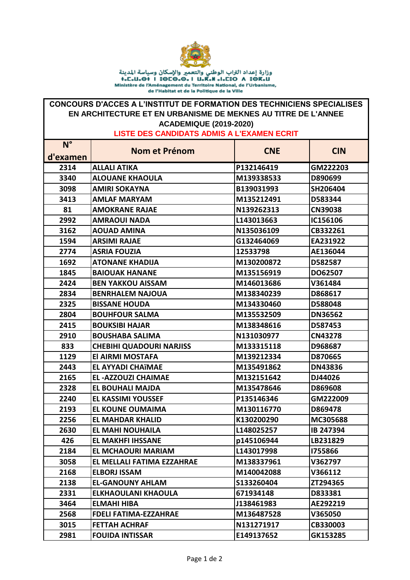

Ministère de l'Aménagement du Territoire National, de l'Urbanisme, de l'Habitat et de la Politique de la Ville

## **CONCOURS D'ACCES A L'INSTITUT DE FORMATION DES TECHNICIENS SPECIALISES EN ARCHITECTURE ET EN URBANISME DE MEKNES AU TITRE DE L'ANNEE ACADEMIQUE (2019-2020)**

**LISTE DES CANDIDATS ADMIS A L'EXAMEN ECRIT** 

| $N^{\circ}$ | <b>Nom et Prénom</b>            | <b>CNE</b> | <b>CIN</b>     |
|-------------|---------------------------------|------------|----------------|
| d'examen    |                                 |            |                |
| 2314        | <b>ALLALI ATIKA</b>             | P132146419 | GM222203       |
| 3340        | <b>ALOUANE KHAOULA</b>          | M139338533 | D890699        |
| 3098        | <b>AMIRI SOKAYNA</b>            | B139031993 | SH206404       |
| 3413        | <b>AMLAF MARYAM</b>             | M135212491 | D583344        |
| 81          | <b>AMOKRANE RAJAE</b>           | N139262313 | <b>CN39038</b> |
| 2992        | <b>AMRAOUI NADA</b>             | L143013663 | IC156106       |
| 3162        | <b>AOUAD AMINA</b>              | N135036109 | CB332261       |
| 1594        | <b>ARSIMI RAJAE</b>             | G132464069 | EA231922       |
| 2774        | <b>ASRIA FOUZIA</b>             | 12533798   | AE136044       |
| 1692        | <b>ATONANE KHADIJA</b>          | M130200872 | D582587        |
| 1845        | <b>BAIOUAK HANANE</b>           | M135156919 | DO62507        |
| 2424        | <b>BEN YAKKOU AISSAM</b>        | M146013686 | V361484        |
| 2834        | <b>BENRHALEM NAJOUA</b>         | M138340239 | D868617        |
| 2325        | <b>BISSANE HOUDA</b>            | M134330460 | D588048        |
| 2804        | <b>BOUHFOUR SALMA</b>           | M135532509 | <b>DN36562</b> |
| 2415        | <b>BOUKSIBI HAJAR</b>           | M138348616 | D587453        |
| 2910        | <b>BOUSHABA SALIMA</b>          | N131030977 | <b>CN43278</b> |
| 833         | <b>CHEBIHI QUADOURI NARJISS</b> | M133315118 | D968687        |
| 1129        | El AIRMI MOSTAFA                | M139212334 | D870665        |
| 2443        | <b>EL AYYADI CHAÏMAE</b>        | M135491862 | <b>DN43836</b> |
| 2165        | <b>EL-AZZOUZI CHAIMAE</b>       | M132151642 | DJ44026        |
| 2328        | <b>EL BOUHALI MAJDA</b>         | M135478646 | D869608        |
| 2240        | <b>EL KASSIMI YOUSSEF</b>       | P135146346 | GM222009       |
| 2193        | <b>EL KOUNE OUMAIMA</b>         | M130116770 | D869478        |
| 2256        | <b>EL MAHDAR KHALID</b>         | K130200290 | MC305688       |
| 2630        | <b>EL MAHI NOUHAILA</b>         | L148025257 | IB 247394      |
| 426         | <b>EL MAKHFI IHSSANE</b>        | p145106944 | LB231829       |
| 2184        | <b>EL MCHAOURI MARIAM</b>       | L143017998 | 1755866        |
| 3058        | EL MELLALI FATIMA EZZAHRAE      | M138337961 | V362797        |
| 2168        | <b>ELBORJ ISSAM</b>             | M140042088 | V366112        |
| 2138        | <b>EL-GANOUNY AHLAM</b>         | S133260404 | ZT294365       |
| 2331        | <b>ELKHAOULANI KHAOULA</b>      | 671934148  | D833381        |
| 3464        | <b>ELMAHI HIBA</b>              | J138461983 | AE292219       |
| 2568        | <b>FDELI FATIMA-EZZAHRAE</b>    | M136487528 | V365050        |
| 3015        | <b>FETTAH ACHRAF</b>            | N131271917 | CB330003       |
| 2981        | <b>FOUIDA INTISSAR</b>          | E149137652 | GK153285       |